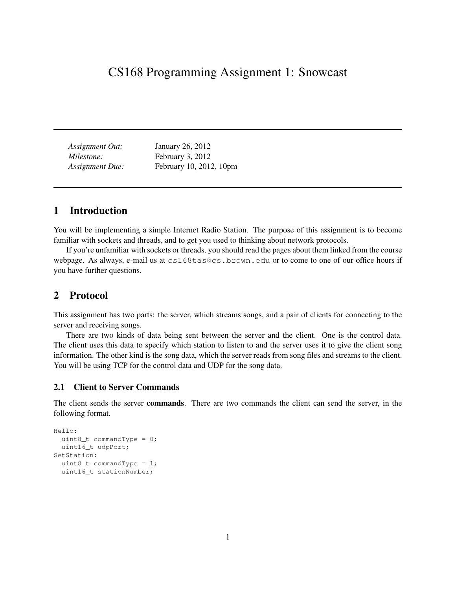# CS168 Programming Assignment 1: Snowcast

| Assignment Out:        | January 26, 2012        |
|------------------------|-------------------------|
| Milestone:             | February 3, 2012        |
| <b>Assignment Due:</b> | February 10, 2012, 10pm |

# 1 Introduction

You will be implementing a simple Internet Radio Station. The purpose of this assignment is to become familiar with sockets and threads, and to get you used to thinking about network protocols.

If you're unfamiliar with sockets or threads, you should read the pages about them linked from the course webpage. As always, e-mail us at cs168tas@cs.brown.edu or to come to one of our office hours if you have further questions.

# 2 Protocol

This assignment has two parts: the server, which streams songs, and a pair of clients for connecting to the server and receiving songs.

There are two kinds of data being sent between the server and the client. One is the control data. The client uses this data to specify which station to listen to and the server uses it to give the client song information. The other kind is the song data, which the server reads from song files and streams to the client. You will be using TCP for the control data and UDP for the song data.

## 2.1 Client to Server Commands

The client sends the server commands. There are two commands the client can send the server, in the following format.

```
Hello:
 uint8_t commandType = 0;
 uint16_t udpPort;
SetStation:
  uint8_t commandType = 1;
  uint16_t stationNumber;
```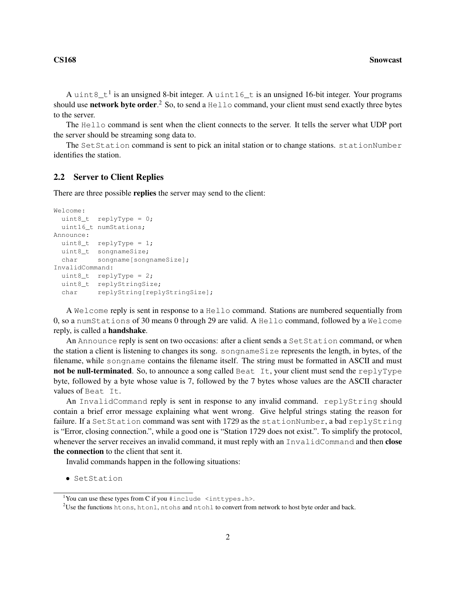A uint8\_t<sup>1</sup> is an unsigned 8-bit integer. A uint16\_t is an unsigned 16-bit integer. Your programs should use **network byte order**.<sup>2</sup> So, to send a <code>Hello</code> command, your client must send exactly three bytes to the server.

The Hello command is sent when the client connects to the server. It tells the server what UDP port the server should be streaming song data to.

The SetStation command is sent to pick an initial station or to change stations. stationNumber identifies the station.

## 2.2 Server to Client Replies

There are three possible replies the server may send to the client:

```
Welcome:
 uint8_t replyType = 0;
 uint16_t numStations;
Announce:
 uint8_t replyType = 1;
 uint8_t songnameSize;
 char songname[songnameSize];
InvalidCommand:
 uint8_t replyType = 2;
 uint8_t replyStringSize;
 char replyString[replyStringSize];
```
A Welcome reply is sent in response to a Hello command. Stations are numbered sequentially from 0, so a numStations of 30 means 0 through 29 are valid. A Hello command, followed by a Welcome reply, is called a handshake.

An Announce reply is sent on two occasions: after a client sends a Set Station command, or when the station a client is listening to changes its song. songnameSize represents the length, in bytes, of the filename, while songname contains the filename itself. The string must be formatted in ASCII and must not be null-terminated. So, to announce a song called Beat It, your client must send the replyType byte, followed by a byte whose value is 7, followed by the 7 bytes whose values are the ASCII character values of Beat It.

An InvalidCommand reply is sent in response to any invalid command. replyString should contain a brief error message explaining what went wrong. Give helpful strings stating the reason for failure. If a SetStation command was sent with 1729 as the stationNumber, a bad replyString is "Error, closing connection.", while a good one is "Station 1729 does not exist.". To simplify the protocol, whenever the server receives an invalid command, it must reply with an InvalidCommand and then close the connection to the client that sent it.

Invalid commands happen in the following situations:

• SetStation

<sup>&</sup>lt;sup>1</sup>You can use these types from C if you  $\sharp$  include  $\le$  inttypes.h>.

<sup>&</sup>lt;sup>2</sup>Use the functions htons, htonl, ntohs and ntohl to convert from network to host byte order and back.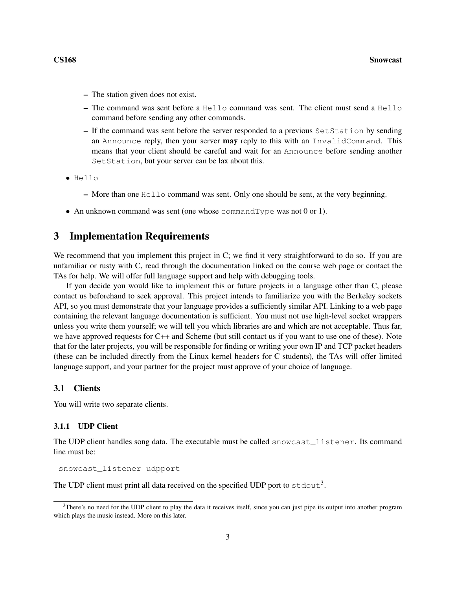- The station given does not exist.
- The command was sent before a Hello command was sent. The client must send a Hello command before sending any other commands.
- If the command was sent before the server responded to a previous SetStation by sending an Announce reply, then your server **may** reply to this with an InvalidCommand. This means that your client should be careful and wait for an Announce before sending another Set Station, but your server can be lax about this.
- $\bullet$  Hello
	- $-$  More than one  $He11\circ$  command was sent. Only one should be sent, at the very beginning.
- An unknown command was sent (one whose commandType was not 0 or 1).

# 3 Implementation Requirements

We recommend that you implement this project in C; we find it very straightforward to do so. If you are unfamiliar or rusty with C, read through the documentation linked on the course web page or contact the TAs for help. We will offer full language support and help with debugging tools.

If you decide you would like to implement this or future projects in a language other than C, please contact us beforehand to seek approval. This project intends to familiarize you with the Berkeley sockets API, so you must demonstrate that your language provides a sufficiently similar API. Linking to a web page containing the relevant language documentation is sufficient. You must not use high-level socket wrappers unless you write them yourself; we will tell you which libraries are and which are not acceptable. Thus far, we have approved requests for C++ and Scheme (but still contact us if you want to use one of these). Note that for the later projects, you will be responsible for finding or writing your own IP and TCP packet headers (these can be included directly from the Linux kernel headers for C students), the TAs will offer limited language support, and your partner for the project must approve of your choice of language.

## 3.1 Clients

You will write two separate clients.

## 3.1.1 UDP Client

The UDP client handles song data. The executable must be called snowcast\_listener. Its command line must be:

snowcast\_listener udpport

The UDP client must print all data received on the specified UDP port to  $\text{stdout}^3$ .

 $3$ There's no need for the UDP client to play the data it receives itself, since you can just pipe its output into another program which plays the music instead. More on this later.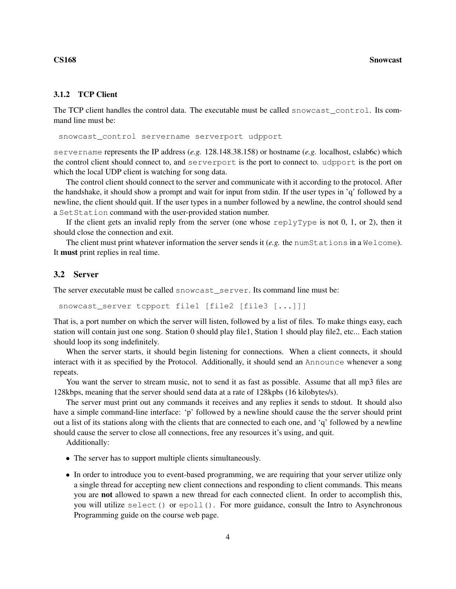## 3.1.2 TCP Client

The TCP client handles the control data. The executable must be called snowcast\_control. Its command line must be:

snowcast\_control servername serverport udpport

servername represents the IP address (*e.g.* 128.148.38.158) or hostname (*e.g.* localhost, cslab6c) which the control client should connect to, and serverport is the port to connect to. udpport is the port on which the local UDP client is watching for song data.

The control client should connect to the server and communicate with it according to the protocol. After the handshake, it should show a prompt and wait for input from stdin. If the user types in 'q' followed by a newline, the client should quit. If the user types in a number followed by a newline, the control should send a SetStation command with the user-provided station number.

If the client gets an invalid reply from the server (one whose replyType is not 0, 1, or 2), then it should close the connection and exit.

The client must print whatever information the server sends it (*e.g.* the numStations in a Welcome). It must print replies in real time.

## 3.2 Server

The server executable must be called snowcast server. Its command line must be:

snowcast\_server tcpport file1 [file2 [file3 [...]]]

That is, a port number on which the server will listen, followed by a list of files. To make things easy, each station will contain just one song. Station 0 should play file1, Station 1 should play file2, etc... Each station should loop its song indefinitely.

When the server starts, it should begin listening for connections. When a client connects, it should interact with it as specified by the Protocol. Additionally, it should send an Announce whenever a song repeats.

You want the server to stream music, not to send it as fast as possible. Assume that all mp3 files are 128kbps, meaning that the server should send data at a rate of 128kpbs (16 kilobytes/s).

The server must print out any commands it receives and any replies it sends to stdout. It should also have a simple command-line interface: 'p' followed by a newline should cause the the server should print out a list of its stations along with the clients that are connected to each one, and 'q' followed by a newline should cause the server to close all connections, free any resources it's using, and quit.

Additionally:

- The server has to support multiple clients simultaneously.
- In order to introduce you to event-based programming, we are requiring that your server utilize only a single thread for accepting new client connections and responding to client commands. This means you are not allowed to spawn a new thread for each connected client. In order to accomplish this, you will utilize select() or epoll(). For more guidance, consult the Intro to Asynchronous Programming guide on the course web page.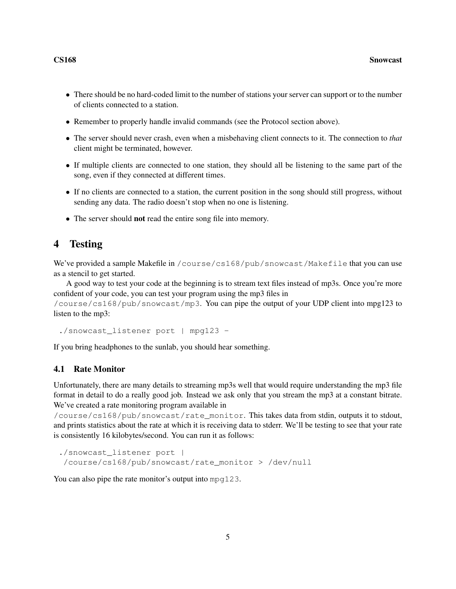- There should be no hard-coded limit to the number of stations your server can support or to the number of clients connected to a station.
- Remember to properly handle invalid commands (see the Protocol section above).
- The server should never crash, even when a misbehaving client connects to it. The connection to *that* client might be terminated, however.
- If multiple clients are connected to one station, they should all be listening to the same part of the song, even if they connected at different times.
- If no clients are connected to a station, the current position in the song should still progress, without sending any data. The radio doesn't stop when no one is listening.
- The server should **not** read the entire song file into memory.

# 4 Testing

We've provided a sample Makefile in /course/cs168/pub/snowcast/Makefile that you can use as a stencil to get started.

A good way to test your code at the beginning is to stream text files instead of mp3s. Once you're more confident of your code, you can test your program using the mp3 files in

/course/cs168/pub/snowcast/mp3. You can pipe the output of your UDP client into mpg123 to listen to the mp3:

./snowcast\_listener port | mpg123 -

If you bring headphones to the sunlab, you should hear something.

## 4.1 Rate Monitor

Unfortunately, there are many details to streaming mp3s well that would require understanding the mp3 file format in detail to do a really good job. Instead we ask only that you stream the mp3 at a constant bitrate. We've created a rate monitoring program available in

/course/cs168/pub/snowcast/rate\_monitor. This takes data from stdin, outputs it to stdout, and prints statistics about the rate at which it is receiving data to stderr. We'll be testing to see that your rate is consistently 16 kilobytes/second. You can run it as follows:

```
./snowcast_listener port |
/course/cs168/pub/snowcast/rate_monitor > /dev/null
```
You can also pipe the rate monitor's output into mpg123.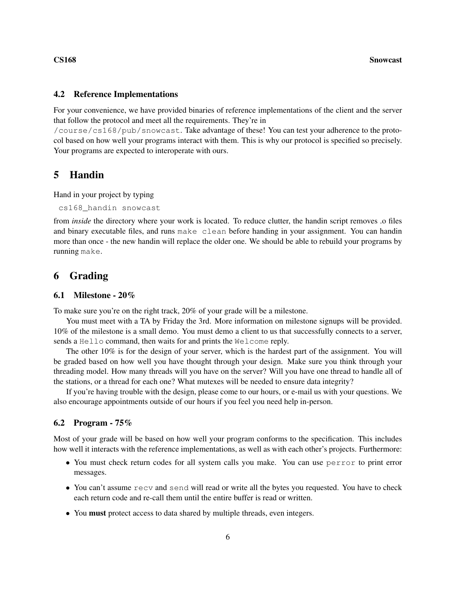## 4.2 Reference Implementations

For your convenience, we have provided binaries of reference implementations of the client and the server that follow the protocol and meet all the requirements. They're in

/course/cs168/pub/snowcast. Take advantage of these! You can test your adherence to the protocol based on how well your programs interact with them. This is why our protocol is specified so precisely. Your programs are expected to interoperate with ours.

## 5 Handin

Hand in your project by typing

```
cs168_handin snowcast
```
from *inside* the directory where your work is located. To reduce clutter, the handin script removes .o files and binary executable files, and runs make clean before handing in your assignment. You can handin more than once - the new handin will replace the older one. We should be able to rebuild your programs by running make.

# 6 Grading

## 6.1 Milestone - 20%

To make sure you're on the right track, 20% of your grade will be a milestone.

You must meet with a TA by Friday the 3rd. More information on milestone signups will be provided. 10% of the milestone is a small demo. You must demo a client to us that successfully connects to a server, sends a Hello command, then waits for and prints the Welcome reply.

The other 10% is for the design of your server, which is the hardest part of the assignment. You will be graded based on how well you have thought through your design. Make sure you think through your threading model. How many threads will you have on the server? Will you have one thread to handle all of the stations, or a thread for each one? What mutexes will be needed to ensure data integrity?

If you're having trouble with the design, please come to our hours, or e-mail us with your questions. We also encourage appointments outside of our hours if you feel you need help in-person.

## 6.2 Program - 75%

Most of your grade will be based on how well your program conforms to the specification. This includes how well it interacts with the reference implementations, as well as with each other's projects. Furthermore:

- You must check return codes for all system calls you make. You can use perror to print error messages.
- You can't assume recv and send will read or write all the bytes you requested. You have to check each return code and re-call them until the entire buffer is read or written.
- You must protect access to data shared by multiple threads, even integers.